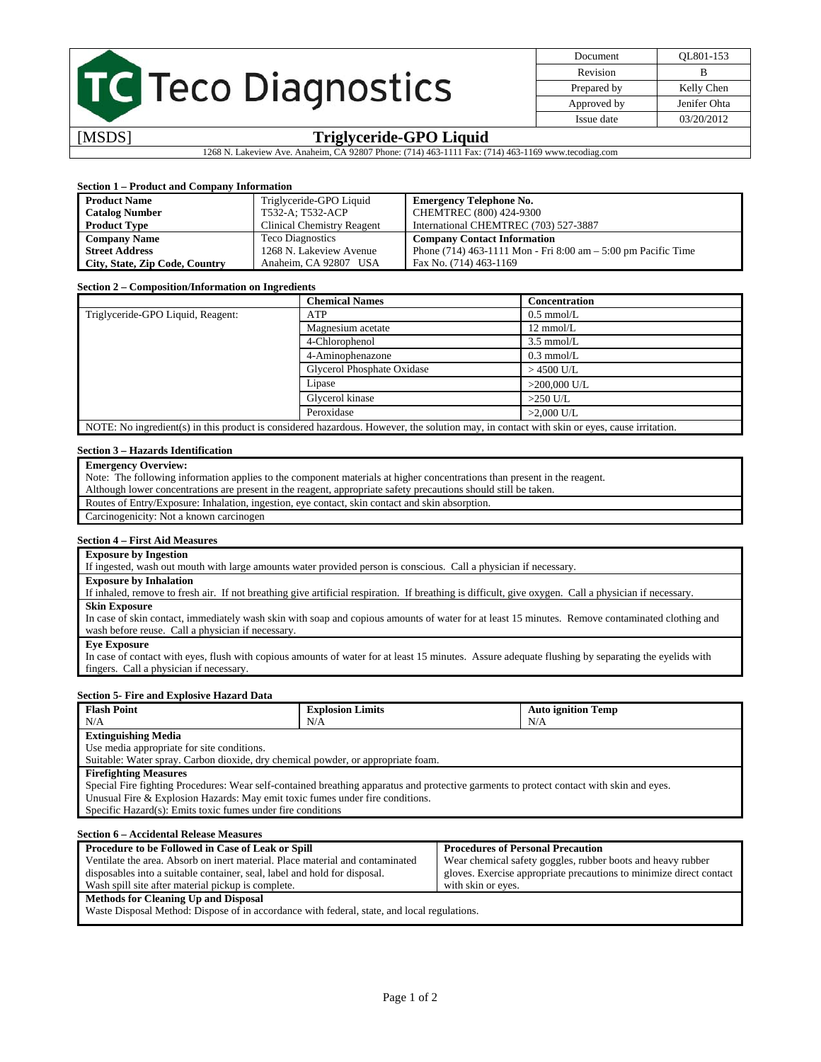## TC Teco Diagnostics

| Document    | OL801-153    |
|-------------|--------------|
| Revision    | в            |
| Prepared by | Kelly Chen   |
| Approved by | Jenifer Ohta |
| Issue date  | 03/20/2012   |
|             |              |

## [MSDS] **Triglyceride-GPO Liquid**

1268 N. Lakeview Ave. Anaheim, CA 92807 Phone: (714) 463-1111 Fax: (714) 463-1169 www.tecodiag.com

## **Section 1 – Product and Company Information**

| <b>Product Name</b>            | Triglyceride-GPO Liquid    | <b>Emergency Telephone No.</b>                                    |
|--------------------------------|----------------------------|-------------------------------------------------------------------|
| <b>Catalog Number</b>          | T532-A; T532-ACP           | CHEMTREC (800) 424-9300                                           |
| <b>Product Type</b>            | Clinical Chemistry Reagent | International CHEMTREC (703) 527-3887                             |
| <b>Company Name</b>            | <b>Teco Diagnostics</b>    | <b>Company Contact Information</b>                                |
| <b>Street Address</b>          | 1268 N. Lakeview Avenue    | Phone $(714)$ 463-1111 Mon - Fri 8:00 am $-$ 5:00 pm Pacific Time |
| City, State, Zip Code, Country | Anaheim, CA 92807 USA      | Fax No. (714) 463-1169                                            |

## **Section 2 – Composition/Information on Ingredients**

|                                   | <b>Chemical Names</b>                                                                                                                      | <b>Concentration</b> |
|-----------------------------------|--------------------------------------------------------------------------------------------------------------------------------------------|----------------------|
| Triglyceride-GPO Liquid, Reagent: | <b>ATP</b>                                                                                                                                 | $0.5$ mmol/L         |
|                                   | Magnesium acetate                                                                                                                          | $12 \text{ mmol/L}$  |
|                                   | 4-Chlorophenol                                                                                                                             | $3.5 \text{ mmol/L}$ |
|                                   | 4-Aminophenazone                                                                                                                           | $0.3$ mmol/L         |
|                                   | Glycerol Phosphate Oxidase                                                                                                                 | $>$ 4500 U/L         |
|                                   | Lipase                                                                                                                                     | $>200,000$ U/L       |
|                                   | Glycerol kinase                                                                                                                            | $>250$ U/L           |
|                                   | Peroxidase                                                                                                                                 | $>2.000$ U/L         |
|                                   | NOTE: No ingredient(s) in this product is considered hazardous. However, the solution may, in contact with skin or eyes, cause irritation. |                      |

## **Section 3 – Hazards Identification**

## **Emergency Overview:**

Note: The following information applies to the component materials at higher concentrations than present in the reagent.

Although lower concentrations are present in the reagent, appropriate safety precautions should still be taken.

Routes of Entry/Exposure: Inhalation, ingestion, eye contact, skin contact and skin absorption.

## Carcinogenicity: Not a known carcinogen

## **Section 4 – First Aid Measures**

## **Exposure by Ingestion**

If ingested, wash out mouth with large amounts water provided person is conscious. Call a physician if necessary.

## **Exposure by Inhalation**

If inhaled, remove to fresh air. If not breathing give artificial respiration. If breathing is difficult, give oxygen. Call a physician if necessary. **Skin Exposure** 

In case of skin contact, immediately wash skin with soap and copious amounts of water for at least 15 minutes. Remove contaminated clothing and wash before reuse. Call a physician if necessary.

**Eye Exposure** 

In case of contact with eyes, flush with copious amounts of water for at least 15 minutes. Assure adequate flushing by separating the eyelids with fingers. Call a physician if necessary.

## **Section 5- Fire and Explosive Hazard Data**

| <b>Flash Point</b>                                                                                                                       | <b>Explosion Limits</b> | <b>Auto ignition Temp</b>                |
|------------------------------------------------------------------------------------------------------------------------------------------|-------------------------|------------------------------------------|
| N/A                                                                                                                                      | N/A                     | N/A                                      |
| <b>Extinguishing Media</b>                                                                                                               |                         |                                          |
| Use media appropriate for site conditions.                                                                                               |                         |                                          |
| Suitable: Water spray. Carbon dioxide, dry chemical powder, or appropriate foam.                                                         |                         |                                          |
| <b>Firefighting Measures</b>                                                                                                             |                         |                                          |
| Special Fire fighting Procedures: Wear self-contained breathing apparatus and protective garments to protect contact with skin and eyes. |                         |                                          |
| Unusual Fire & Explosion Hazards: May emit toxic fumes under fire conditions.                                                            |                         |                                          |
| Specific Hazard(s): Emits toxic fumes under fire conditions                                                                              |                         |                                          |
|                                                                                                                                          |                         |                                          |
| <b>Section 6 – Accidental Release Measures</b>                                                                                           |                         |                                          |
| Procedure to be Followed in Case of Leak or Spill                                                                                        |                         | <b>Procedures of Personal Precaution</b> |

## Ventilate the area. Absorb on inert material. Place material and contaminated disposables into a suitable container, seal, label and hold for disposal. Wash spill site after material pickup is complete. Wear chemical safety goggles, rubber boots and heavy rubber gloves. Exercise appropriate precautions to minimize direct contact with skin or eyes.

**Methods for Cleaning Up and Disposal** 

Waste Disposal Method: Dispose of in accordance with federal, state, and local regulations.